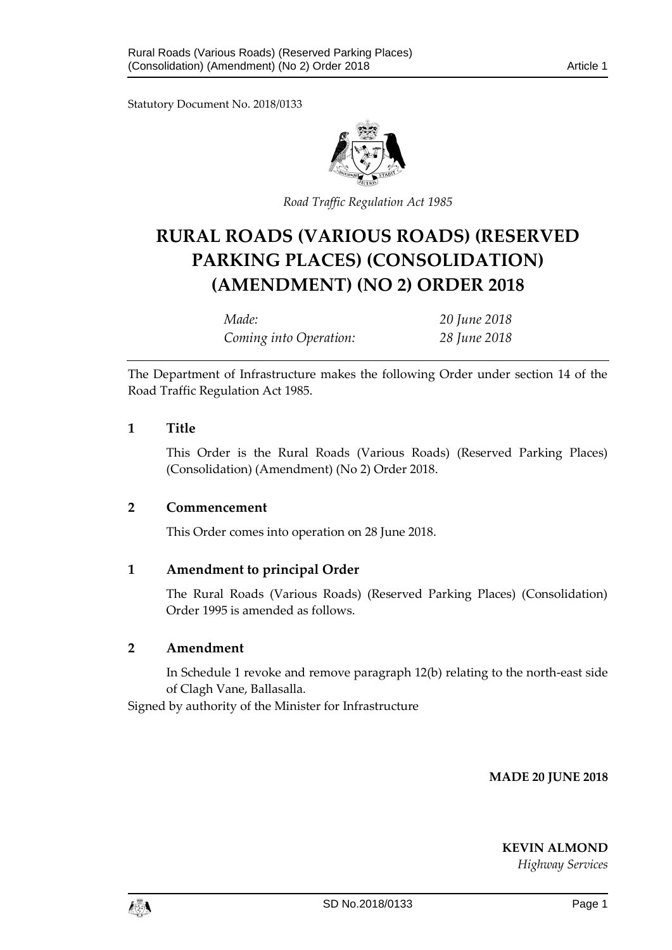Statutory Document No. 2018/0133



*Road Traffic Regulation Act 1985*

# **RURAL ROADS (VARIOUS ROADS) (RESERVED PARKING PLACES) (CONSOLIDATION) (AMENDMENT) (NO 2) ORDER 2018**

*Made: 20 June 2018 Coming into Operation: 28 June 2018*

The Department of Infrastructure makes the following Order under section 14 of the Road Traffic Regulation Act 1985.

## **1 Title**

This Order is the Rural Roads (Various Roads) (Reserved Parking Places) (Consolidation) (Amendment) (No 2) Order 2018.

## **2 Commencement**

This Order comes into operation on 28 June 2018.

## **1 Amendment to principal Order**

The Rural Roads (Various Roads) (Reserved Parking Places) (Consolidation) Order 1995 is amended as follows.

#### **2 Amendment**

In Schedule 1 revoke and remove paragraph 12(b) relating to the north-east side of Clagh Vane, Ballasalla.

Signed by authority of the Minister for Infrastructure

**MADE 20 JUNE 2018**

**KEVIN ALMOND**

*Highway Services*